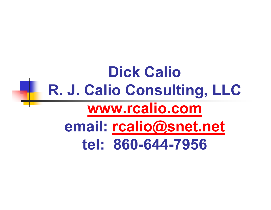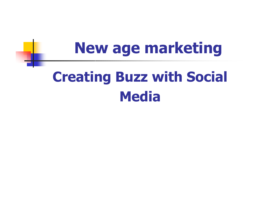# **New age marketing Creating Buzz with Social Media**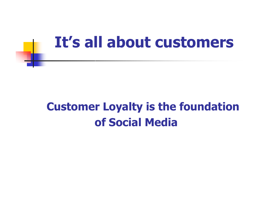### **It's all about customers**

#### **Customer Loyalty is the foundation of Social Media**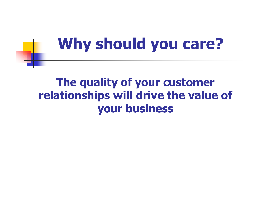## **Why should you care?**

#### **The quality of your customer relationships will drive the value of your business**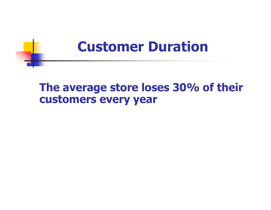### **Customer Duration**

#### **The average store loses 30% of their customers every year**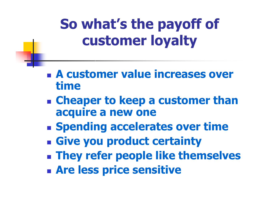### **So what's the payoff of customer loyalty**

- **A customer value increases over time**
- **Cheaper to keep a customer than acquire a new one**
- **Example 1 Spending accelerates over time**
- **Give you product certainty**
- **They refer people like themselves**
- **Are less price sensitive**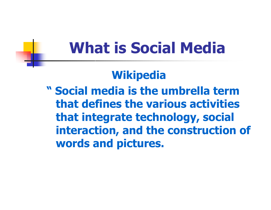## **What is Social Media**

### **Wikipedia**

**" Social media is the umbrella term that defines the various activities that integrate technology, social interaction, and the construction of words and pictures.**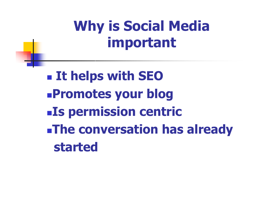### **Why is Social Media important**

 **It helps with SEO Promotes your blog Is permission centric The conversation has already started**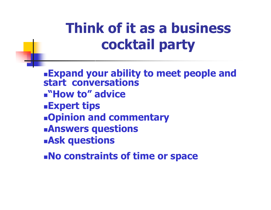### **Think of it as a business cocktail party**

**Expand your ability to meet people and start conversations "How to" advice Expert tips Opinion and commentary Answers questions Ask questions**

**No constraints of time or space**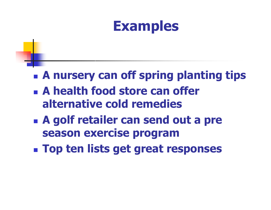

- **A nursery can off spring planting tips**
- **A health food store can offer alternative cold remedies**
- **A golf retailer can send out a pre season exercise program**
- **Top ten lists get great responses**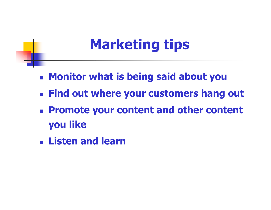### **Marketing tips**

- **Monitor what is being said about you**
- **Find out where your customers hang out**
- **Promote your content and other content you like**
- **Listen and learn**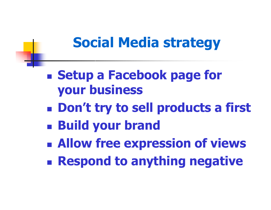### **Social Media strategy**

- **Example 5 Setup a Facebook page for your business**
- **Don't try to sell products a first**
- **Build your brand**
- **Allow free expression of views**
- **Respond to anything negative**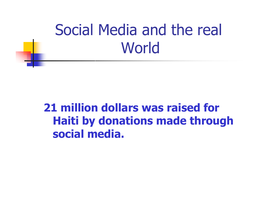## Social Media and the real **World**

#### **21 million dollars was raised for Haiti by donations made through social media.**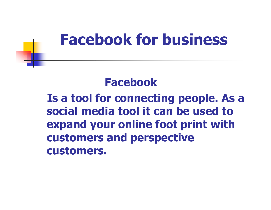### **Facebook for business**

#### **Facebook**

**Is a tool for connecting people. As a social media tool it can be used to expand your online foot print with customers and perspective customers.**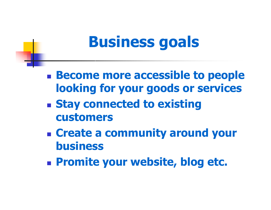## **Business goals**

- **Become more accessible to people looking for your goods or services**
- **Stay connected to existing customers**
- **Create a community around your business**
- **Promite your website, blog etc.**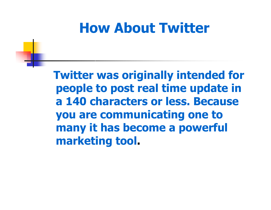### **How About Twitter**

**Twitter was originally intended for people to post real time update in a 140 characters or less. Because you are communicating one to many it has become a powerful marketing tool.**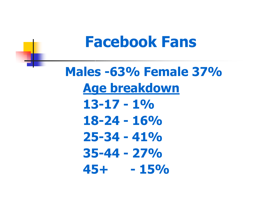### **Facebook Fans**

**Males -63% Female 37% Age breakdown 13-17 - 1% 18-24 - 16% 25-34 - 41% 35-44 - 27% 45+ - 15%**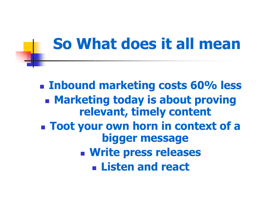### **So What does it all mean**

 **Inbound marketing costs 60% less Marketing today is about proving relevant, timely content Toot your own horn in context of a bigger message Write press releases Listen and react**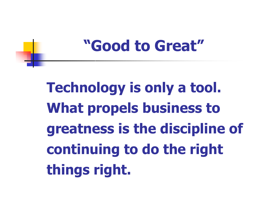### **"Good to Great"**

**Technology is only a tool. What propels business to greatness is the discipline of continuing to do the right things right.**